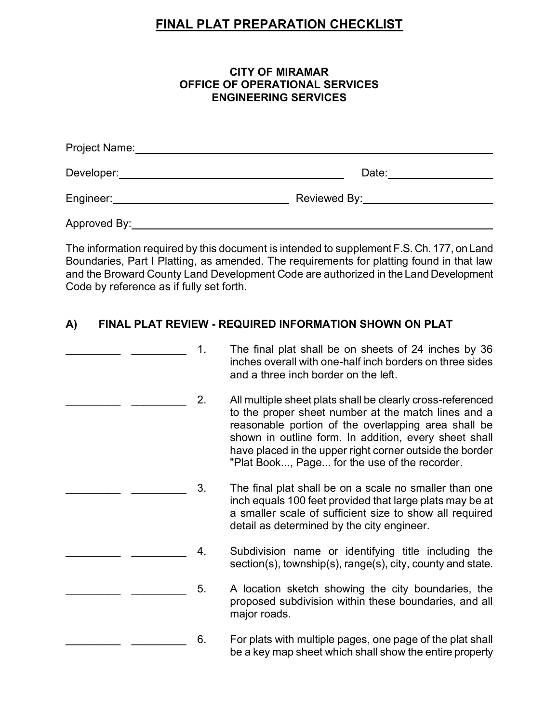# **FINAL PLAT PREPARATION CHECKLIST**

#### **CITY OF MIRAMAR OFFICE OF OPERATIONAL SERVICES ENGINEERING SERVICES**

| Project Name: |              |
|---------------|--------------|
| Developer:    | Date:        |
| Engineer:     | Reviewed By: |
| Approved By:  |              |

 The information required by this document is intended to supplement F.S. Ch. 177, on Land Boundaries, Part I Platting, as amended. The requirements for platting found in that law and the Broward County Land Development Code are authorized in the Land Development Code by reference as if fully set forth.

### **A) FINAL PLAT REVIEW - REQUIRED INFORMATION SHOWN ON PLAT**

|  | 1. | The final plat shall be on sheets of 24 inches by 36<br>inches overall with one-half inch borders on three sides<br>and a three inch border on the left.                                                                                                                                                                                       |
|--|----|------------------------------------------------------------------------------------------------------------------------------------------------------------------------------------------------------------------------------------------------------------------------------------------------------------------------------------------------|
|  | 2. | All multiple sheet plats shall be clearly cross-referenced<br>to the proper sheet number at the match lines and a<br>reasonable portion of the overlapping area shall be<br>shown in outline form. In addition, every sheet shall<br>have placed in the upper right corner outside the border<br>"Plat Book, Page for the use of the recorder. |
|  | 3. | The final plat shall be on a scale no smaller than one<br>inch equals 100 feet provided that large plats may be at<br>a smaller scale of sufficient size to show all required<br>detail as determined by the city engineer.                                                                                                                    |
|  | 4. | Subdivision name or identifying title including the<br>section(s), township(s), range(s), city, county and state.                                                                                                                                                                                                                              |
|  | 5. | A location sketch showing the city boundaries, the<br>proposed subdivision within these boundaries, and all<br>major roads.                                                                                                                                                                                                                    |
|  | 6. | For plats with multiple pages, one page of the plat shall<br>be a key map sheet which shall show the entire property                                                                                                                                                                                                                           |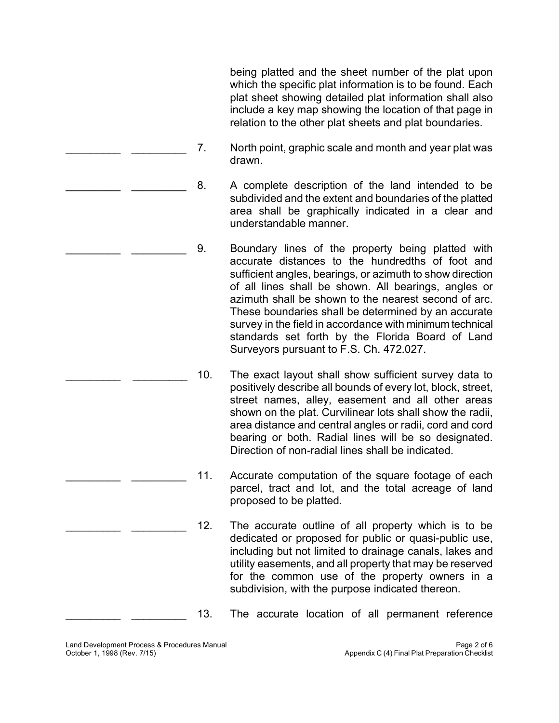being platted and the sheet number of the plat upon plat sheet showing detailed plat information shall also which the specific plat information is to be found. Each include a key map showing the location of that page in relation to the other plat sheets and plat boundaries.

- \_\_\_\_\_\_\_\_\_ \_\_\_\_\_\_\_\_\_ 7. North point, graphic scale and month and year plat was drawn.
- \_\_\_\_\_\_\_\_\_\_\_\_\_\_\_\_\_\_\_\_\_\_\_\_\_\_\_\_\_\_\_\_\_\_\_\_\_8. A complete description of the land intended to be subdivided and the extent and boundaries of the platted area shall be graphically indicated in a clear and understandable manner.
- \_\_\_\_\_\_\_\_\_\_\_<sub>\_\_\_\_\_</sub>\_\_\_\_\_\_\_\_\_\_\_\_\_\_9. Boundary lines of the property being platted with accurate distances to the hundredths of foot and sufficient angles, bearings, or azimuth to show direction of all lines shall be shown. All bearings, angles or azimuth shall be shown to the nearest second of arc. These boundaries shall be determined by an accurate survey in the field in accordance with minimum technical standards set forth by the Florida Board of Land Surveyors pursuant to F.S. Ch. 472.027.
	- positively describe all bounds of every lot, block, street, street names, alley, easement and all other areas area distance and central angles or radii, cord and cord bearing or both. Radial lines will be so designated. 10. The exact layout shall show sufficient survey data to shown on the plat. Curvilinear lots shall show the radii, Direction of non-radial lines shall be indicated.
- \_\_\_\_\_\_\_\_\_\_\_\_\_\_\_\_\_\_\_\_\_\_\_\_\_\_\_\_\_\_\_11. Accurate computation of the square footage of each parcel, tract and lot, and the total acreage of land proposed to be platted.
- \_\_\_\_\_\_\_\_\_\_\_ \_\_\_\_\_\_\_\_\_\_\_ 12. The accurate outline of all property which is to be dedicated or proposed for public or quasi-public use, including but not limited to drainage canals, lakes and utility easements, and all property that may be reserved for the common use of the property owners in a subdivision, with the purpose indicated thereon.
- \_\_\_\_\_\_\_\_\_\_\_ \_\_\_\_\_\_\_\_\_\_\_\_ 13. The accurate location of all permanent reference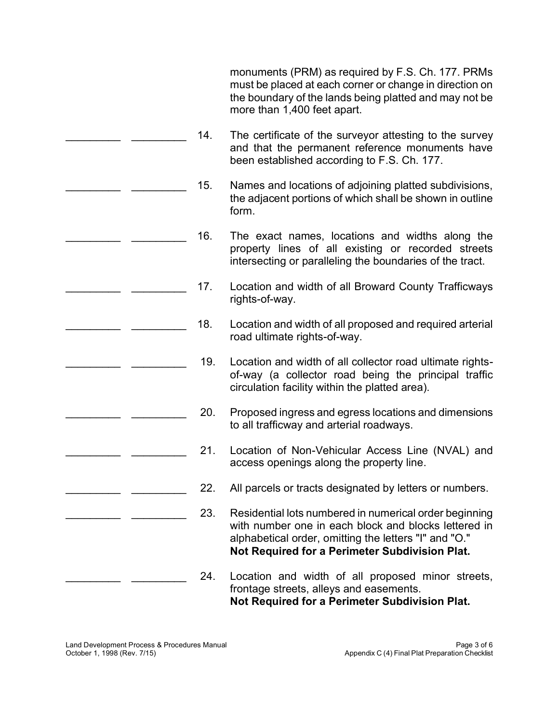monuments (PRM) as required by F.S. Ch. 177. PRMs must be placed at each corner or change in direction on the boundary of the lands being platted and may not be more than 1,400 feet apart.

- The certificate of the surveyor attesting to the survey and that the permanent reference monuments have \_\_\_\_\_\_\_\_\_ \_\_\_\_\_\_\_\_\_ 14. been established according to F.S. Ch. 177.
- the adjacent portions of which shall be shown in outline \_\_\_\_\_\_\_\_\_ \_\_\_\_\_\_\_\_\_ 15. Names and locations of adjoining platted subdivisions, form.
- The exact names, locations and widths along the property lines of all existing or recorded streets \_\_\_\_\_\_\_\_\_ \_\_\_\_\_\_\_\_\_ 16. intersecting or paralleling the boundaries of the tract.
- Location and width of all Broward County Trafficways \_\_\_\_\_\_\_\_\_ \_\_\_\_\_\_\_\_\_ 17. rights-of-way.
- Location and width of all proposed and required arterial \_\_\_\_\_\_\_\_\_ \_\_\_\_\_\_\_\_\_ 18. road ultimate rights-of-way.
	- 19. Location and width of all collector road ultimate rightsof-way (a collector road being the principal traffic circulation facility within the platted area).
	- 20. Proposed ingress and egress locations and dimensions to all trafficway and arterial roadways.
	- 21. Location of Non-Vehicular Access Line (NVAL) and access openings along the property line.
	- 22. All parcels or tracts designated by letters or numbers.
	- 23. Residential lots numbered in numerical order beginning with number one in each block and blocks lettered in alphabetical order, omitting the letters "I" and "O." **Not Required for a Perimeter Subdivision Plat.**
	- 24. Location and width of all proposed minor streets, frontage streets, alleys and easements. **Not Required for a Perimeter Subdivision Plat.**

\_\_\_\_\_\_\_\_\_ \_\_\_\_\_\_\_\_\_

\_\_\_\_\_\_\_\_\_ \_\_\_\_\_\_\_\_\_

\_\_\_\_\_\_\_\_\_ \_\_\_\_\_\_\_\_\_

\_\_\_\_\_\_\_\_\_ \_\_\_\_\_\_\_\_\_

\_\_\_\_\_\_\_\_\_ \_\_\_\_\_\_\_\_\_

\_\_\_\_\_\_\_\_\_ \_\_\_\_\_\_\_\_\_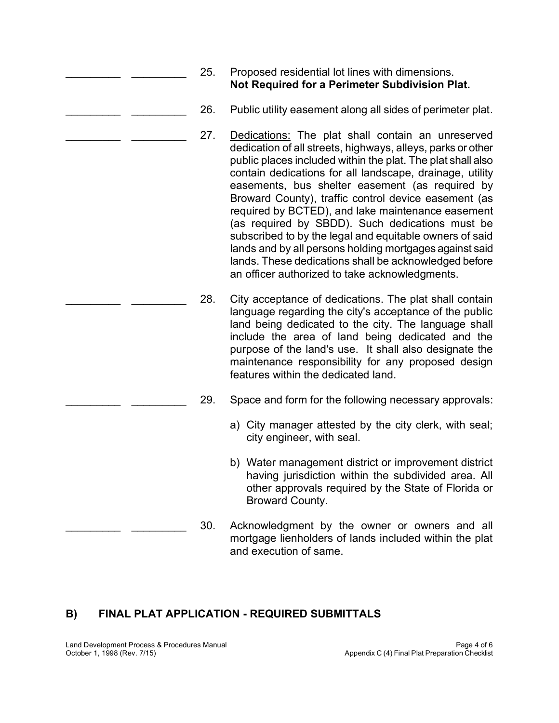- 25. Proposed residential lot lines with dimensions. **Not Required for a Perimeter Subdivision Plat.**
- 26. Public utility easement along all sides of perimeter plat.
- 27. Dedications: The plat shall contain an unreserved dedication of all streets, highways, alleys, parks or other public places included within the plat. The plat shall also contain dedications for all landscape, drainage, utility easements, bus shelter easement (as required by Broward County), traffic control device easement (as required by BCTED), and lake maintenance easement (as required by SBDD). Such dedications must be subscribed to by the legal and equitable owners of said lands and by all persons holding mortgages against said lands. These dedications shall be acknowledged before an officer authorized to take acknowledgments.
- 28. City acceptance of dedications. The plat shall contain language regarding the city's acceptance of the public land being dedicated to the city. The language shall include the area of land being dedicated and the purpose of the land's use. It shall also designate the maintenance responsibility for any proposed design features within the dedicated land.
	- 29. Space and form for the following necessary approvals:
		- a) City manager attested by the city clerk, with seal; city engineer, with seal.
		- b) Water management district or improvement district having jurisdiction within the subdivided area. All other approvals required by the State of Florida or Broward County.
	- 30. Acknowledgment by the owner or owners and all mortgage lienholders of lands included within the plat and execution of same.

## **B) FINAL PLAT APPLICATION - REQUIRED SUBMITTALS**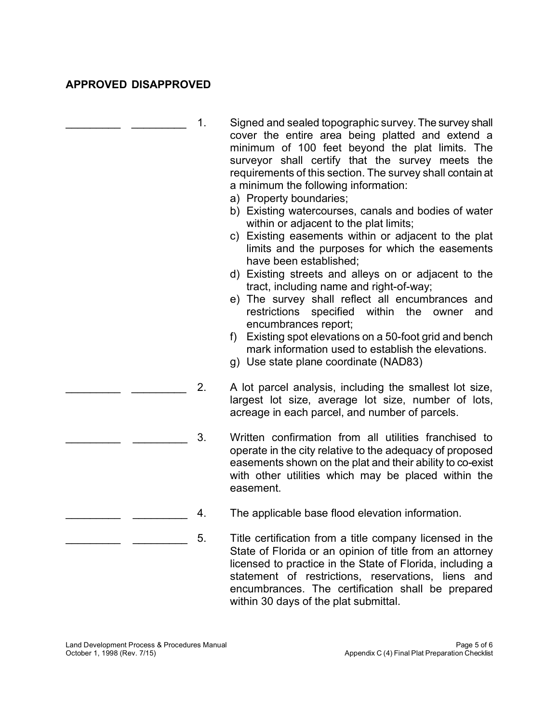## **APPROVED DISAPPROVED**

| 1. | Signed and sealed topographic survey. The survey shall<br>cover the entire area being platted and extend a<br>minimum of 100 feet beyond the plat limits. The<br>surveyor shall certify that the survey meets the<br>requirements of this section. The survey shall contain at<br>a minimum the following information:<br>a) Property boundaries; |
|----|---------------------------------------------------------------------------------------------------------------------------------------------------------------------------------------------------------------------------------------------------------------------------------------------------------------------------------------------------|
|    | b) Existing watercourses, canals and bodies of water<br>within or adjacent to the plat limits;<br>c) Existing easements within or adjacent to the plat<br>limits and the purposes for which the easements<br>have been established;                                                                                                               |
|    | d) Existing streets and alleys on or adjacent to the<br>tract, including name and right-of-way;                                                                                                                                                                                                                                                   |
|    | e) The survey shall reflect all encumbrances and<br>within the<br>restrictions<br>specified<br>owner<br>and<br>encumbrances report;                                                                                                                                                                                                               |
|    | f) Existing spot elevations on a 50-foot grid and bench<br>mark information used to establish the elevations.<br>g) Use state plane coordinate (NAD83)                                                                                                                                                                                            |
| 2. | A lot parcel analysis, including the smallest lot size,<br>largest lot size, average lot size, number of lots,<br>acreage in each parcel, and number of parcels.                                                                                                                                                                                  |
| 3. | Written confirmation from all utilities franchised to<br>operate in the city relative to the adequacy of proposed<br>easements shown on the plat and their ability to co-exist<br>with other utilities which may be placed within the<br>easement.                                                                                                |
| 4. | The applicable base flood elevation information.                                                                                                                                                                                                                                                                                                  |
| 5. | Title certification from a title company licensed in the<br>State of Florida or an opinion of title from an attorney<br>licensed to practice in the State of Florida, including a<br>statement of restrictions, reservations,<br>liens and                                                                                                        |

encumbrances. The certification shall be prepared

within 30 days of the plat submittal.